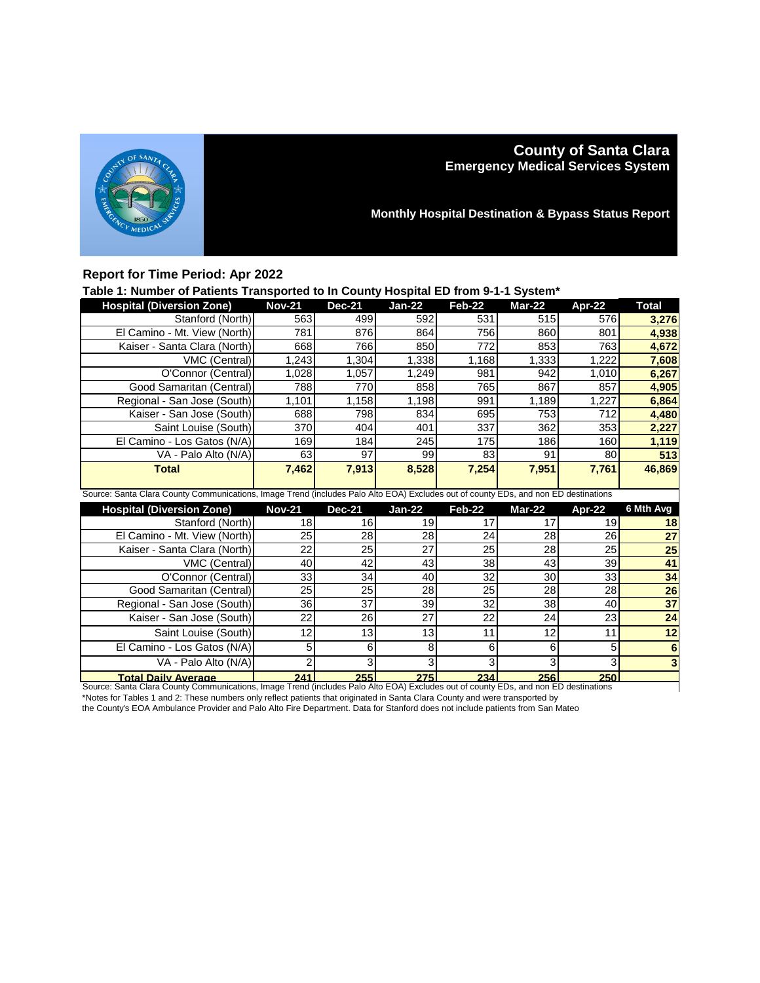

# **County of Santa Clara Emergency Medical Services System**

**Monthly Hospital Destination & Bypass Status Report**

### **Report for Time Period: Apr 2022**

### **Table 1: Number of Patients Transported to In County Hospital ED from 9-1-1 System\***

| <b>Hospital (Diversion Zone)</b>                                                                                                    | <b>Nov-21</b>   | <b>Dec-21</b> | $Jan-22$      | Feb-22        | Mar-22        | Apr-22          | <b>Total</b>    |  |
|-------------------------------------------------------------------------------------------------------------------------------------|-----------------|---------------|---------------|---------------|---------------|-----------------|-----------------|--|
| Stanford (North)                                                                                                                    | 563             | 499           | 592           | 531           | 515           | 576             | 3,276           |  |
| El Camino - Mt. View (North)                                                                                                        | 781             | 876           | 864           | 756           | 860           | 801             | 4,938           |  |
| Kaiser - Santa Clara (North)                                                                                                        | 668             | 766           | 850           | 772           | 853           | 763             | 4,672           |  |
| VMC (Central)                                                                                                                       | 1,243           | 1,304         | 1,338         | 1,168         | 1,333         | 1,222           | 7,608           |  |
| O'Connor (Central)                                                                                                                  | 1,028           | 1,057         | 1,249         | 981           | 942           | 1,010           | 6,267           |  |
| Good Samaritan (Central)                                                                                                            | 788             | 770           | 858           | 765           | 867           | 857             | 4,905           |  |
| Regional - San Jose (South)                                                                                                         | 1,101           | 1,158         | 1,198         | 991           | 1,189         | ,227            | 6,864           |  |
| Kaiser - San Jose (South)                                                                                                           | 688             | 798           | 834           | 695           | 753           | 712             | 4,480           |  |
| Saint Louise (South)                                                                                                                | 370             | 404           | 401           | 337           | 362           | 353             | 2,227           |  |
| El Camino - Los Gatos (N/A)                                                                                                         | 169             | 184           | 245           | 175           | 186           | 160             | 1,119           |  |
| VA - Palo Alto (N/A)                                                                                                                | 63              | 97            | 99            | 83            | 91            | 80              | 513             |  |
| <b>Total</b>                                                                                                                        | 7,462           | 7,913         | 8,528         | 7,254         | 7,951         | 7,761           | 46,869          |  |
|                                                                                                                                     |                 |               |               |               |               |                 |                 |  |
| Source: Santa Clara County Communications, Image Trend (includes Palo Alto EOA) Excludes out of county EDs, and non ED destinations |                 |               |               |               |               |                 |                 |  |
|                                                                                                                                     |                 |               |               |               |               |                 |                 |  |
| <b>Hospital (Diversion Zone)</b>                                                                                                    | <b>Nov-21</b>   | <b>Dec-21</b> | <b>Jan-22</b> | <b>Feb-22</b> | <b>Mar-22</b> | Apr-22          | 6 Mth Avg       |  |
| Stanford (North)                                                                                                                    | 18              | 16            | 19            | 17            | 17            | 19              | 18              |  |
| El Camino - Mt. View (North)                                                                                                        | 25              | 28            | 28            | 24            | 28            | 26              | 27              |  |
| Kaiser - Santa Clara (North)                                                                                                        | 22              | 25            | 27            | 25            | 28            | $\overline{25}$ | $\overline{25}$ |  |
| VMC (Central)                                                                                                                       | 40              | 42            | 43            | 38            | 43            | 39              | 41              |  |
| O'Connor (Central)                                                                                                                  | 33              | 34            | 40            | 32            | 30            | 33              | 34              |  |
| Good Samaritan (Central)                                                                                                            | $\overline{25}$ | 25            | 28            | 25            | 28            | 28              | $\overline{26}$ |  |
| Regional - San Jose (South)                                                                                                         | 36              | 37            | 39            | 32            | 38            | 40              | $\overline{37}$ |  |
| Kaiser - San Jose (South)                                                                                                           | 22              | 26            | 27            | 22            | 24            | 23              | $\overline{24}$ |  |
| Saint Louise (South)                                                                                                                | 12              | 13            | 13            | 11            | 12            | 11              | 12              |  |
| El Camino - Los Gatos (N/A)                                                                                                         | 5               | 6             | 8             | 6             | 6             | 5               | 6               |  |
| VA - Palo Alto (N/A)                                                                                                                | $\overline{c}$  | 3             | 3             | 3             | 3             | 3               |                 |  |

**Total Daily Average 241 255 275 234 256 250** Source: Santa Clara County Communications, Image Trend (includes Palo Alto EOA) Excludes out of county EDs, and non ED destinations \*Notes for Tables 1 and 2: These numbers only reflect patients that originated in Santa Clara County and were transported by

the County's EOA Ambulance Provider and Palo Alto Fire Department. Data for Stanford does not include patients from San Mateo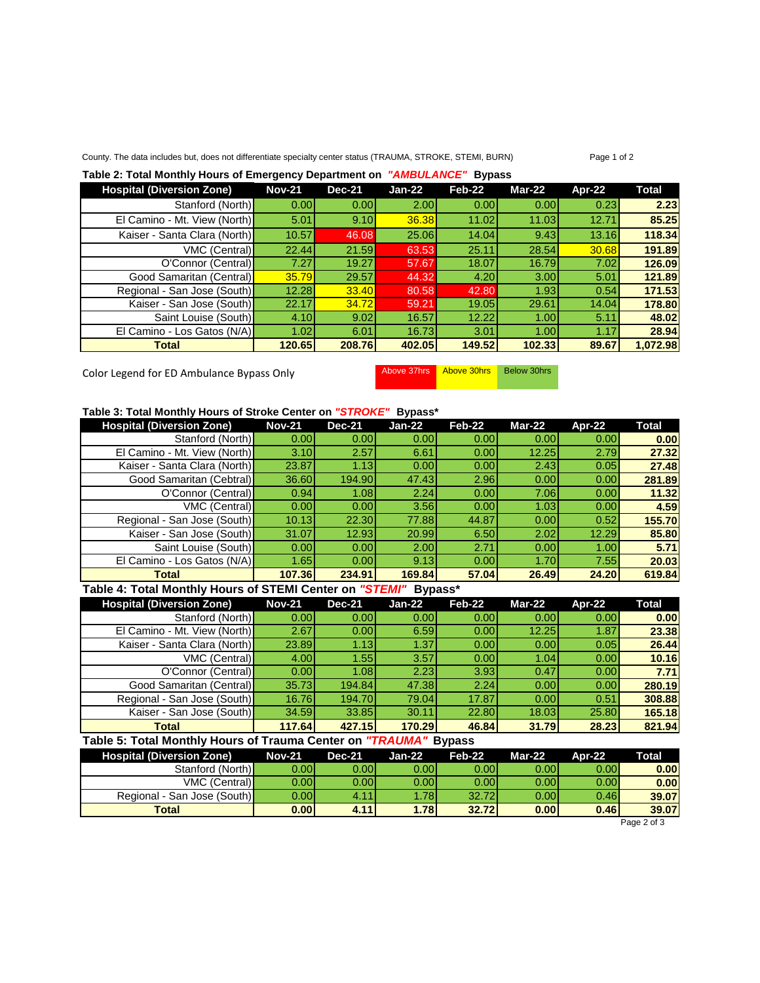#### County. The data includes but, does not differentiate specialty center status (TRAUMA, STROKE, STEMI, BURN) Page 1 of 2

#### **Table 2: Total Monthly Hours of Emergency Department on** *"AMBULANCE"* **Bypass**

| <b>Hospital (Diversion Zone)</b> | <b>Nov-21</b> | <b>Dec-21</b> | Jan-22       | Feb-22            | Mar-22 | Apr-22 | <b>Total</b> |
|----------------------------------|---------------|---------------|--------------|-------------------|--------|--------|--------------|
| Stanford (North)                 | 0.00          | 0.00          | 2.00         | 0.00 <sub>l</sub> | 0.00   | 0.23   | 2.23         |
| El Camino - Mt. View (North)     | 5.01          | 9.10          | <b>36.38</b> | 11.02             | 11.03  | 12.71  | 85.25        |
| Kaiser - Santa Clara (North)     | 10.57         | 46.08         | 25.06        | 14.04             | 9.43   | 13.16  | 118.34       |
| VMC (Central)                    | 22.44         | 21.59         | 63.53        | 25.11             | 28.54  | 30.68  | 191.89       |
| O'Connor (Central)               | 7.27          | 19.27         | 57.67        | 18.07             | 16.79  | 7.02   | 126.09       |
| Good Samaritan (Central)         | 35.79         | 29.57         | 44.32        | 4.20              | 3.00   | 5.01   | 121.89       |
| Regional - San Jose (South)      | 12.28         | <b>33.40</b>  | 80.58        | 42.80             | 1.93   | 0.54   | 171.53       |
| Kaiser - San Jose (South)        | 22.17         | 34.72         | 59.21        | 19.05             | 29.61  | 14.04  | 178.80       |
| Saint Louise (South)             | 4.10          | 9.02          | 16.57        | 12.22             | 1.00   | 5.11   | 48.02        |
| El Camino - Los Gatos (N/A)      | 1.02          | 6.01          | 16.73        | 3.01              | 1.00   | 1.17   | 28.94        |
| <b>Total</b>                     | 120.65        | 208.76        | 402.05       | 149.52            | 102.33 | 89.67  | 1,072.98     |

Color Legend for ED Ambulance Bypass Only Above 37hrs Above 30hrs Below 30hrs

#### **Table 3: Total Monthly Hours of Stroke Center on** *"STROKE"* **Bypass\***

| <b>Hospital (Diversion Zone)</b> | <b>Nov-21</b> | <b>Dec-21</b>     | Jan-22 | Feb-22 | <b>Mar-22</b> | Apr-22 | Total  |
|----------------------------------|---------------|-------------------|--------|--------|---------------|--------|--------|
| Stanford (North)                 | 0.00          | 0.00 <sub>l</sub> | 0.00   | 0.001  | 0.001         | 0.00   | 0.00   |
| El Camino - Mt. View (North)     | 3.10          | 2.57              | 6.61   | 0.00   | 12.25         | 2.79   | 27.32  |
| Kaiser - Santa Clara (North)     | 23.87         | 1.13              | 0.00   | 0.00   | 2.43          | 0.05   | 27.48  |
| Good Samaritan (Cebtral)         | 36.60         | 194.90            | 47.43  | 2.96   | 0.00          | 0.00   | 281.89 |
| O'Connor (Central)               | 0.94          | 1.08              | 2.24   | 0.00   | 7.06          | 0.00   | 11.32  |
| VMC (Central)                    | 0.00          | 0.00              | 3.56   | 0.00   | 1.03          | 0.00   | 4.59   |
| Regional - San Jose (South)      | 10.13         | 22.30             | 77.88  | 44.87  | 0.00          | 0.52   | 155.70 |
| Kaiser - San Jose (South)        | 31.07         | 12.93             | 20.99  | 6.50   | 2.02          | 12.29  | 85.80  |
| Saint Louise (South)             | 0.001         | 0.00              | 2.00   | 2.71   | 0.00          | 1.00   | 5.71   |
| El Camino - Los Gatos (N/A)      | 1.65I         | 0.00              | 9.13   | 0.00   | 1.70          | 7.55   | 20.03  |
| <b>Total</b>                     | 107.36        | 234.91            | 169.84 | 57.04  | 26.49         | 24.20  | 619.84 |

#### **Table 4: Total Monthly Hours of STEMI Center on** *"STEMI"* **Bypass\***

| <b>Hospital (Diversion Zone)</b> | <b>Nov-21</b> | <b>Dec-21</b>     | Jan-22 | Feb-22            | <b>Mar-22</b> | Apr-22 | Total  |
|----------------------------------|---------------|-------------------|--------|-------------------|---------------|--------|--------|
| Stanford (North)                 | 0.00          | 0.00 <sub>l</sub> | 0.00   | 0.00              | 0.001         | 0.00   | 0.00   |
| El Camino - Mt. View (North)     | 2.67          | 0.00              | 6.59   | 0.00              | 12.25         | 1.87   | 23.38  |
| Kaiser - Santa Clara (North)     | 23.89         | 1.13              | 1.37   | 0.001             | 0.00          | 0.05   | 26.44  |
| VMC (Central)                    | 4.00          | 1.55              | 3.57   | 0.001             | 1.04          | 0.00   | 10.16  |
| O'Connor (Central)               | 0.00          | 1.08 <sub>l</sub> | 2.23   | 3.93 <sup>1</sup> | 0.47          | 0.00   | 7.71   |
| Good Samaritan (Central)         | 35.73         | 194.84            | 47.38  | 2.24              | 0.00          | 0.00   | 280.19 |
| Regional - San Jose (South)      | 16.76         | 194.70            | 79.04  | 17.87             | 0.00          | 0.51   | 308.88 |
| Kaiser - San Jose (South)        | 34.59         | 33.85             | 30.11  | 22.80             | 18.03         | 25.80  | 165.18 |
| Total                            | 117.64        | 427.15            | 170.29 | 46.84             | 31.79         | 28.23  | 821.94 |

# **Table 5: Total Monthly Hours of Trauma Center on** *"TRAUMA"* **Bypass**

| <b>Hospital (Diversion Zone)</b> | <b>Nov-21</b> | <b>Dec-21</b> | Jan-22 | $Feb-22$          | <b>Mar-22</b> | Apr-22 | <b>Total</b> |
|----------------------------------|---------------|---------------|--------|-------------------|---------------|--------|--------------|
| Stanford (North)                 | 0.001         | 0.00l         | 0.00l  | 0.00 <sub>l</sub> | 0.00          | 0.00   | 0.00         |
| VMC (Central)                    | 0.00l         | 0.001         | 0.001  | 0.00 <sub>l</sub> | 0.001         | 0.00   | 0.00         |
| Regional - San Jose (South)      | 0.00l         | 4.11          | l.78l  | 32.72             | 0.001         | 0.46   | 39.07        |
| <b>Total</b>                     | 0.00          | 4.11          | 1.78   | 32.72             | 0.00          | 0.46   | 39.07        |

Page 2 of 3